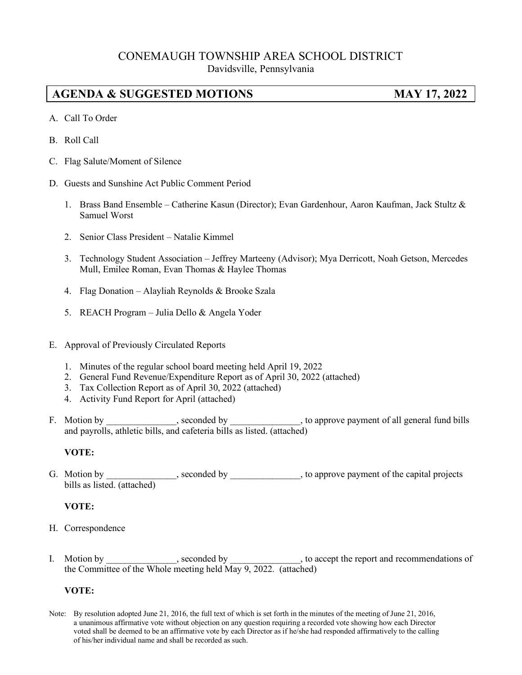# CONEMAUGH TOWNSHIP AREA SCHOOL DISTRICT Davidsville, Pennsylvania

# **AGENDA & SUGGESTED MOTIONS MAY 17, 2022**

- A. Call To Order
- B. Roll Call
- C. Flag Salute/Moment of Silence
- D. Guests and Sunshine Act Public Comment Period
	- 1. Brass Band Ensemble Catherine Kasun (Director); Evan Gardenhour, Aaron Kaufman, Jack Stultz & Samuel Worst
	- 2. Senior Class President Natalie Kimmel
	- 3. Technology Student Association Jeffrey Marteeny (Advisor); Mya Derricott, Noah Getson, Mercedes Mull, Emilee Roman, Evan Thomas & Haylee Thomas
	- 4. Flag Donation Alayliah Reynolds & Brooke Szala
	- 5. REACH Program Julia Dello & Angela Yoder
- E. Approval of Previously Circulated Reports
	- 1. Minutes of the regular school board meeting held April 19, 2022
	- 2. General Fund Revenue/Expenditure Report as of April 30, 2022 (attached)
	- 3. Tax Collection Report as of April 30, 2022 (attached)
	- 4. Activity Fund Report for April (attached)
- F. Motion by \_\_\_\_\_\_\_\_\_\_\_\_, seconded by \_\_\_\_\_\_\_\_\_\_\_, to approve payment of all general fund bills and payrolls, athletic bills, and cafeteria bills as listed. (attached)

## **VOTE:**

G. Motion by \_\_\_\_\_\_\_\_\_\_\_, seconded by \_\_\_\_\_\_\_\_\_, to approve payment of the capital projects bills as listed. (attached)

## **VOTE:**

- H. Correspondence
- I. Motion by seconded by seconded by to accept the report and recommendations of the Committee of the Whole meeting held May 9, 2022. (attached)

## **VOTE:**

Note: By resolution adopted June 21, 2016, the full text of which is set forth in the minutes of the meeting of June 21, 2016, a unanimous affirmative vote without objection on any question requiring a recorded vote showing how each Director voted shall be deemed to be an affirmative vote by each Director as if he/she had responded affirmatively to the calling of his/her individual name and shall be recorded as such.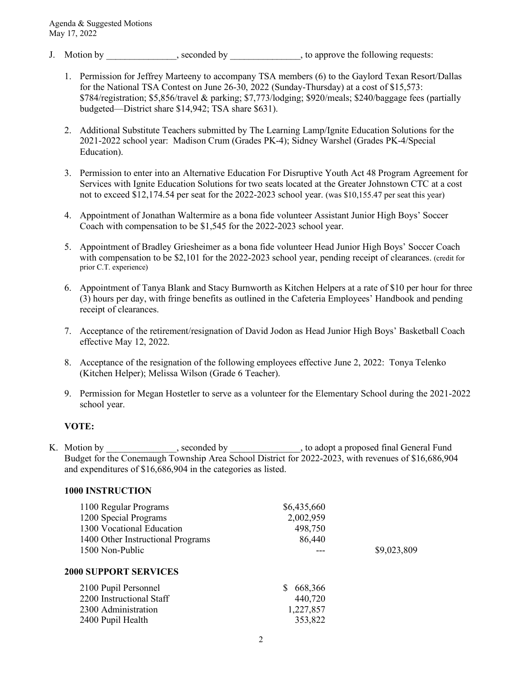- J. Motion by \_\_\_\_\_\_\_\_\_\_\_\_, seconded by \_\_\_\_\_\_\_\_\_\_\_, to approve the following requests:
	- 1. Permission for Jeffrey Marteeny to accompany TSA members (6) to the Gaylord Texan Resort/Dallas for the National TSA Contest on June 26-30, 2022 (Sunday-Thursday) at a cost of \$15,573: \$784/registration; \$5,856/travel & parking; \$7,773/lodging; \$920/meals; \$240/baggage fees (partially budgeted—District share \$14,942; TSA share \$631).
	- 2. Additional Substitute Teachers submitted by The Learning Lamp/Ignite Education Solutions for the 2021-2022 school year: Madison Crum (Grades PK-4); Sidney Warshel (Grades PK-4/Special Education).
	- 3. Permission to enter into an Alternative Education For Disruptive Youth Act 48 Program Agreement for Services with Ignite Education Solutions for two seats located at the Greater Johnstown CTC at a cost not to exceed \$12,174.54 per seat for the 2022-2023 school year. (was \$10,155.47 per seat this year)
	- 4. Appointment of Jonathan Waltermire as a bona fide volunteer Assistant Junior High Boys' Soccer Coach with compensation to be \$1,545 for the 2022-2023 school year.
	- 5. Appointment of Bradley Griesheimer as a bona fide volunteer Head Junior High Boys' Soccer Coach with compensation to be \$2,101 for the 2022-2023 school year, pending receipt of clearances. (credit for prior C.T. experience)
	- 6. Appointment of Tanya Blank and Stacy Burnworth as Kitchen Helpers at a rate of \$10 per hour for three (3) hours per day, with fringe benefits as outlined in the Cafeteria Employees' Handbook and pending receipt of clearances.
	- 7. Acceptance of the retirement/resignation of David Jodon as Head Junior High Boys' Basketball Coach effective May 12, 2022.
	- 8. Acceptance of the resignation of the following employees effective June 2, 2022: Tonya Telenko (Kitchen Helper); Melissa Wilson (Grade 6 Teacher).
	- 9. Permission for Megan Hostetler to serve as a volunteer for the Elementary School during the 2021-2022 school year.

## **VOTE:**

K. Motion by \_\_\_\_\_\_\_\_\_\_\_\_, seconded by \_\_\_\_\_\_\_\_\_\_\_, to adopt a proposed final General Fund Budget for the Conemaugh Township Area School District for 2022-2023, with revenues of \$16,686,904 and expenditures of \$16,686,904 in the categories as listed.

#### **1000 INSTRUCTION**

| 1100 Regular Programs<br>1200 Special Programs<br>1300 Vocational Education<br>1400 Other Instructional Programs | \$6,435,660<br>2,002,959<br>498,750<br>86,440    |             |
|------------------------------------------------------------------------------------------------------------------|--------------------------------------------------|-------------|
| 1500 Non-Public<br><b>2000 SUPPORT SERVICES</b>                                                                  |                                                  | \$9,023,809 |
| 2100 Pupil Personnel<br>2200 Instructional Staff<br>2300 Administration<br>2400 Pupil Health                     | 668,366<br>S.<br>440,720<br>1,227,857<br>353,822 |             |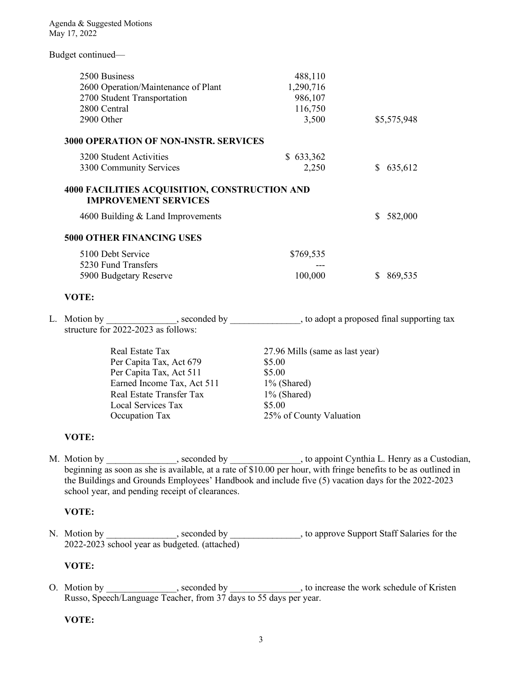Budget continued—

| 2500 Business<br>2600 Operation/Maintenance of Plant<br>2700 Student Transportation<br>2800 Central<br>2900 Other                          | 488,110<br>1,290,716<br>986,107<br>116,750<br>3,500 | \$5,575,948 |
|--------------------------------------------------------------------------------------------------------------------------------------------|-----------------------------------------------------|-------------|
| <b>3000 OPERATION OF NON-INSTR. SERVICES</b>                                                                                               |                                                     |             |
| 3200 Student Activities<br>3300 Community Services                                                                                         | \$633,362<br>2,250                                  | \$635,612   |
| <b>4000 FACILITIES ACQUISITION, CONSTRUCTION AND</b><br><b>IMPROVEMENT SERVICES</b>                                                        |                                                     |             |
| 4600 Building $&$ Land Improvements                                                                                                        |                                                     | 582,000     |
| <b>5000 OTHER FINANCING USES</b>                                                                                                           |                                                     |             |
| 5100 Debt Service<br>5230 Fund Transfers<br>5900 Budgetary Reserve                                                                         | \$769,535<br>100,000                                | \$869,535   |
| VOTE:                                                                                                                                      |                                                     |             |
| L. Motion by _______________, seconded by _______________, to adopt a proposed final supporting tax<br>structure for 2022-2023 as follows: |                                                     |             |
| Real Estate Tax                                                                                                                            | 27.96 Mills (same as last year)                     |             |

Per Capita Tax, Act 679 \$5.00 Per Capita Tax, Act 511 \$5.00 Earned Income Tax, Act 511 1% (Shared) Real Estate Transfer Tax 1% (Shared) Local Services Tax \$5.00 Occupation Tax 25% of County Valuation

## **VOTE:**

M. Motion by \_\_\_\_\_\_\_\_\_\_\_\_, seconded by \_\_\_\_\_\_\_\_\_\_, to appoint Cynthia L. Henry as a Custodian, beginning as soon as she is available, at a rate of \$10.00 per hour, with fringe benefits to be as outlined in the Buildings and Grounds Employees' Handbook and include five (5) vacation days for the 2022-2023 school year, and pending receipt of clearances.

## **VOTE:**

N. Motion by example by seconded by the support Staff Salaries for the Nuclearian Staff Salaries for the Nuclearian Staff Salaries for the Support Staff Salaries for the Support Staff Salaries for the Support Staff Salarie 2022-2023 school year as budgeted. (attached)

## **VOTE:**

O. Motion by \_\_\_\_\_\_\_\_\_\_\_\_, seconded by \_\_\_\_\_\_\_\_\_\_\_, to increase the work schedule of Kristen Russo, Speech/Language Teacher, from 37 days to 55 days per year.

## **VOTE:**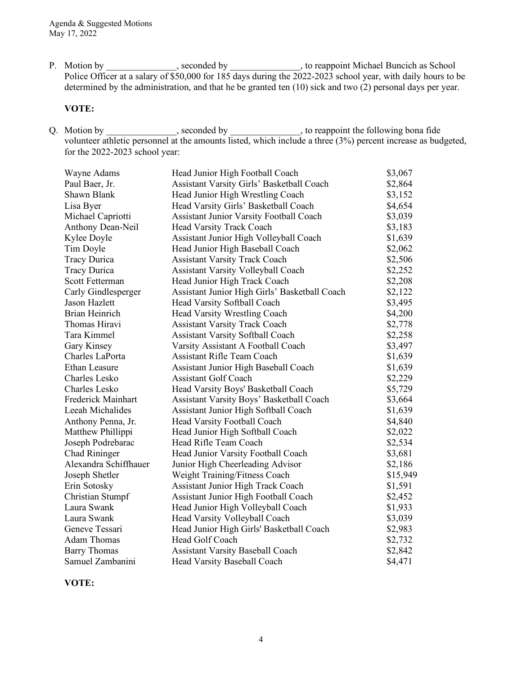P. Motion by \_\_\_\_\_\_\_\_\_\_\_\_\_, seconded by \_\_\_\_\_\_\_\_\_\_\_\_\_, to reappoint Michael Buncich as School Police Officer at a salary of \$50,000 for 185 days during the 2022-2023 school year, with daily hours to be determined by the administration, and that he be granted ten (10) sick and two (2) personal days per year.

#### **VOTE:**

Q. Motion by \_\_\_\_\_\_\_\_\_\_\_\_\_, seconded by \_\_\_\_\_\_\_\_\_\_\_\_\_, to reappoint the following bona fide volunteer athletic personnel at the amounts listed, which include a three (3%) percent increase as budgeted, for the 2022-2023 school year:

| Head Junior High Football Coach               | \$3,067                                |
|-----------------------------------------------|----------------------------------------|
| Assistant Varsity Girls' Basketball Coach     | \$2,864                                |
| Head Junior High Wrestling Coach              | \$3,152                                |
| Head Varsity Girls' Basketball Coach          | \$4,654                                |
| Assistant Junior Varsity Football Coach       | \$3,039                                |
| Head Varsity Track Coach                      | \$3,183                                |
|                                               | \$1,639                                |
| Head Junior High Baseball Coach               | \$2,062                                |
| <b>Assistant Varsity Track Coach</b>          | \$2,506                                |
| <b>Assistant Varsity Volleyball Coach</b>     | \$2,252                                |
| Head Junior High Track Coach                  | \$2,208                                |
| Assistant Junior High Girls' Basketball Coach | \$2,122                                |
| Head Varsity Softball Coach                   | \$3,495                                |
| Head Varsity Wrestling Coach                  | \$4,200                                |
| <b>Assistant Varsity Track Coach</b>          | \$2,778                                |
| <b>Assistant Varsity Softball Coach</b>       | \$2,258                                |
| Varsity Assistant A Football Coach            | \$3,497                                |
| <b>Assistant Rifle Team Coach</b>             | \$1,639                                |
| Assistant Junior High Baseball Coach          | \$1,639                                |
| Assistant Golf Coach                          | \$2,229                                |
| Head Varsity Boys' Basketball Coach           | \$5,729                                |
| Assistant Varsity Boys' Basketball Coach      | \$3,664                                |
| Assistant Junior High Softball Coach          | \$1,639                                |
| Head Varsity Football Coach                   | \$4,840                                |
| Head Junior High Softball Coach               | \$2,022                                |
| Head Rifle Team Coach                         | \$2,534                                |
| Head Junior Varsity Football Coach            | \$3,681                                |
| Junior High Cheerleading Advisor              | \$2,186                                |
| Weight Training/Fitness Coach                 | \$15,949                               |
| <b>Assistant Junior High Track Coach</b>      | \$1,591                                |
| Assistant Junior High Football Coach          | \$2,452                                |
| Head Junior High Volleyball Coach             | \$1,933                                |
| Head Varsity Volleyball Coach                 | \$3,039                                |
| Head Junior High Girls' Basketball Coach      | \$2,983                                |
| Head Golf Coach                               | \$2,732                                |
| <b>Assistant Varsity Baseball Coach</b>       | \$2,842                                |
| Head Varsity Baseball Coach                   | \$4,471                                |
|                                               | Assistant Junior High Volleyball Coach |

**VOTE:**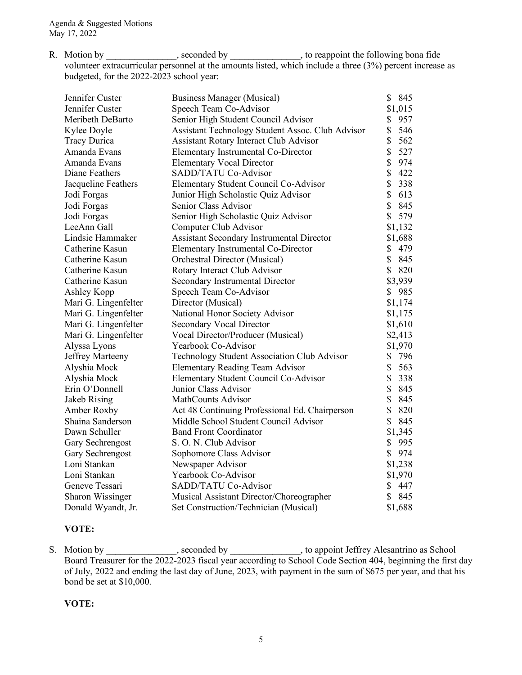R. Motion by \_\_\_\_\_\_\_\_\_\_\_\_\_, seconded by \_\_\_\_\_\_\_\_\_\_\_\_\_, to reappoint the following bona fide volunteer extracurricular personnel at the amounts listed, which include a three (3%) percent increase as budgeted, for the 2022-2023 school year:

| Jennifer Custer         | <b>Business Manager (Musical)</b>                | \$<br>845 |
|-------------------------|--------------------------------------------------|-----------|
| Jennifer Custer         | Speech Team Co-Advisor                           | \$1,015   |
| Meribeth DeBarto        | Senior High Student Council Advisor              | \$<br>957 |
| Kylee Doyle             | Assistant Technology Student Assoc. Club Advisor | 546<br>\$ |
| <b>Tracy Durica</b>     | <b>Assistant Rotary Interact Club Advisor</b>    | \$<br>562 |
| Amanda Evans            | Elementary Instrumental Co-Director              | \$<br>527 |
| Amanda Evans            | <b>Elementary Vocal Director</b>                 | \$<br>974 |
| Diane Feathers          | SADD/TATU Co-Advisor                             | \$<br>422 |
| Jacqueline Feathers     | Elementary Student Council Co-Advisor            | \$<br>338 |
| Jodi Forgas             | Junior High Scholastic Quiz Advisor              | \$<br>613 |
| Jodi Forgas             | Senior Class Advisor                             | \$<br>845 |
| Jodi Forgas             | Senior High Scholastic Quiz Advisor              | \$<br>579 |
| LeeAnn Gall             | Computer Club Advisor                            | \$1,132   |
| Lindsie Hammaker        | Assistant Secondary Instrumental Director        | \$1,688   |
| Catherine Kasun         | <b>Elementary Instrumental Co-Director</b>       | \$<br>479 |
| Catherine Kasun         | Orchestral Director (Musical)                    | \$<br>845 |
| Catherine Kasun         | Rotary Interact Club Advisor                     | \$<br>820 |
| Catherine Kasun         | Secondary Instrumental Director                  | \$3,939   |
| Ashley Kopp             | Speech Team Co-Advisor                           | \$985     |
| Mari G. Lingenfelter    | Director (Musical)                               | \$1,174   |
| Mari G. Lingenfelter    | National Honor Society Advisor                   | \$1,175   |
| Mari G. Lingenfelter    | <b>Secondary Vocal Director</b>                  | \$1,610   |
| Mari G. Lingenfelter    | Vocal Director/Producer (Musical)                | \$2,413   |
| Alyssa Lyons            | Yearbook Co-Advisor                              | \$1,970   |
| Jeffrey Marteeny        | Technology Student Association Club Advisor      | \$<br>796 |
| Alyshia Mock            | <b>Elementary Reading Team Advisor</b>           | \$<br>563 |
| Alyshia Mock            | Elementary Student Council Co-Advisor            | \$<br>338 |
| Erin O'Donnell          | Junior Class Advisor                             | \$<br>845 |
| Jakeb Rising            | MathCounts Advisor                               | \$<br>845 |
| Amber Roxby             | Act 48 Continuing Professional Ed. Chairperson   | 820<br>\$ |
| Shaina Sanderson        | Middle School Student Council Advisor            | \$<br>845 |
| Dawn Schuller           | <b>Band Front Coordinator</b>                    | \$1,345   |
| Gary Sechrengost        | S. O. N. Club Advisor                            | \$<br>995 |
| Gary Sechrengost        | Sophomore Class Advisor                          | \$<br>974 |
| Loni Stankan            | Newspaper Advisor                                | \$1,238   |
| Loni Stankan            | Yearbook Co-Advisor                              | \$1,970   |
| Geneve Tessari          | SADD/TATU Co-Advisor                             | \$<br>447 |
| <b>Sharon Wissinger</b> | Musical Assistant Director/Choreographer         | \$<br>845 |
| Donald Wyandt, Jr.      | Set Construction/Technician (Musical)            | \$1,688   |

## **VOTE:**

S. Motion by \_\_\_\_\_\_\_\_\_\_\_\_\_, seconded by \_\_\_\_\_\_\_\_\_\_\_\_\_, to appoint Jeffrey Alesantrino as School Board Treasurer for the 2022-2023 fiscal year according to School Code Section 404, beginning the first day of July, 2022 and ending the last day of June, 2023, with payment in the sum of \$675 per year, and that his bond be set at \$10,000.

#### **VOTE:**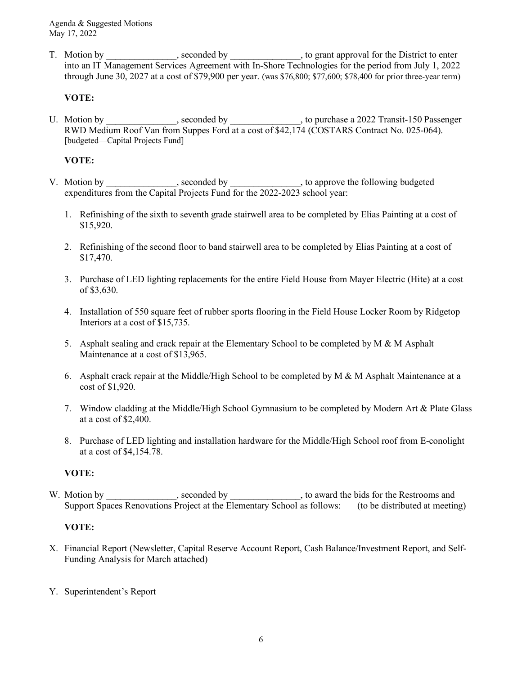T. Motion by \_\_\_\_\_\_\_\_\_\_\_\_, seconded by \_\_\_\_\_\_\_\_\_\_\_, to grant approval for the District to enter into an IT Management Services Agreement with In-Shore Technologies for the period from July 1, 2022 through June 30, 2027 at a cost of \$79,900 per year. (was \$76,800; \$77,600; \$78,400 for prior three-year term)

## **VOTE:**

U. Motion by \_\_\_\_\_\_\_\_\_\_\_\_, seconded by \_\_\_\_\_\_\_\_\_\_, to purchase a 2022 Transit-150 Passenger RWD Medium Roof Van from Suppes Ford at a cost of \$42,174 (COSTARS Contract No. 025-064). [budgeted—Capital Projects Fund]

## **VOTE:**

- V. Motion by \_\_\_\_\_\_\_\_\_\_\_\_\_, seconded by \_\_\_\_\_\_\_\_\_\_\_\_\_, to approve the following budgeted expenditures from the Capital Projects Fund for the 2022-2023 school year:
	- 1. Refinishing of the sixth to seventh grade stairwell area to be completed by Elias Painting at a cost of \$15,920.
	- 2. Refinishing of the second floor to band stairwell area to be completed by Elias Painting at a cost of \$17,470.
	- 3. Purchase of LED lighting replacements for the entire Field House from Mayer Electric (Hite) at a cost of \$3,630.
	- 4. Installation of 550 square feet of rubber sports flooring in the Field House Locker Room by Ridgetop Interiors at a cost of \$15,735.
	- 5. Asphalt sealing and crack repair at the Elementary School to be completed by M & M Asphalt Maintenance at a cost of \$13,965.
	- 6. Asphalt crack repair at the Middle/High School to be completed by  $M \& M$  Asphalt Maintenance at a cost of \$1,920.
	- 7. Window cladding at the Middle/High School Gymnasium to be completed by Modern Art & Plate Glass at a cost of \$2,400.
	- 8. Purchase of LED lighting and installation hardware for the Middle/High School roof from E-conolight at a cost of \$4,154.78.

# **VOTE:**

W. Motion by \_\_\_\_\_\_\_\_\_\_\_\_\_, seconded by \_\_\_\_\_\_\_\_\_\_\_\_\_, to award the bids for the Restrooms and Support Spaces Renovations Project at the Elementary School as follows: (to be distributed at meeting)

# **VOTE:**

X. Financial Report (Newsletter, Capital Reserve Account Report, Cash Balance/Investment Report, and Self-Funding Analysis for March attached)

## Y. Superintendent's Report